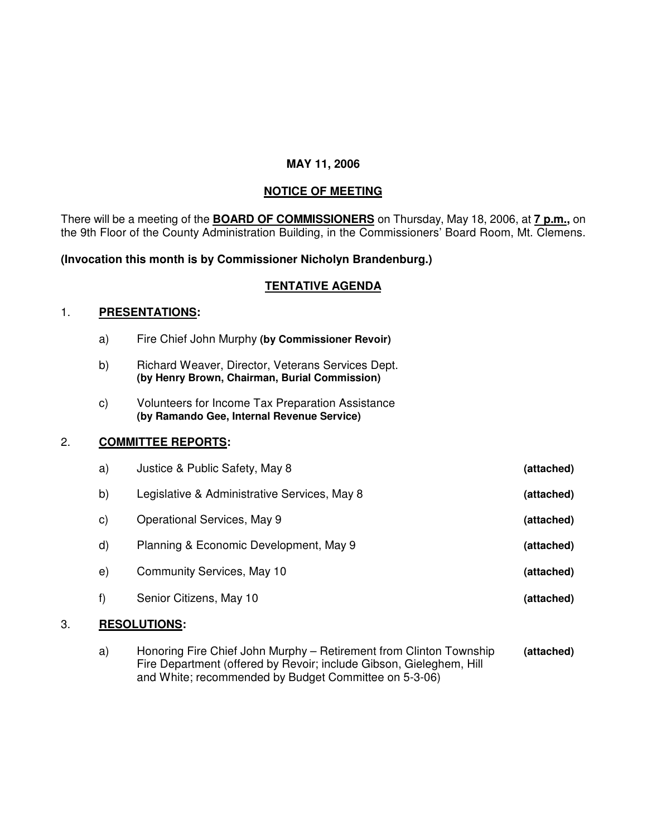## **MAY 11, 2006**

## **NOTICE OF MEETING**

There will be a meeting of the **BOARD OF COMMISSIONERS** on Thursday, May 18, 2006, at **7 p.m.,** on the 9th Floor of the County Administration Building, in the Commissioners' Board Room, Mt. Clemens.

### **(Invocation this month is by Commissioner Nicholyn Brandenburg.)**

# **TENTATIVE AGENDA**

#### 1. **PRESENTATIONS:**

- a) Fire Chief John Murphy **(by Commissioner Revoir)**
- b) Richard Weaver, Director, Veterans Services Dept. **(by Henry Brown, Chairman, Burial Commission)**
- c) Volunteers for Income Tax Preparation Assistance **(by Ramando Gee, Internal Revenue Service)**

## 2. **COMMITTEE REPORTS:**

| a)           | Justice & Public Safety, May 8               | (attached) |
|--------------|----------------------------------------------|------------|
| b)           | Legislative & Administrative Services, May 8 | (attached) |
| $\mathbf{C}$ | Operational Services, May 9                  | (attached) |
| d)           | Planning & Economic Development, May 9       | (attached) |
| e)           | Community Services, May 10                   | (attached) |
| f)           | Senior Citizens, May 10                      | (attached) |
|              |                                              |            |

## 3. **RESOLUTIONS:**

a) Honoring Fire Chief John Murphy – Retirement from Clinton Township **(attached)** Fire Department (offered by Revoir; include Gibson, Gieleghem, Hill and White; recommended by Budget Committee on 5-3-06)